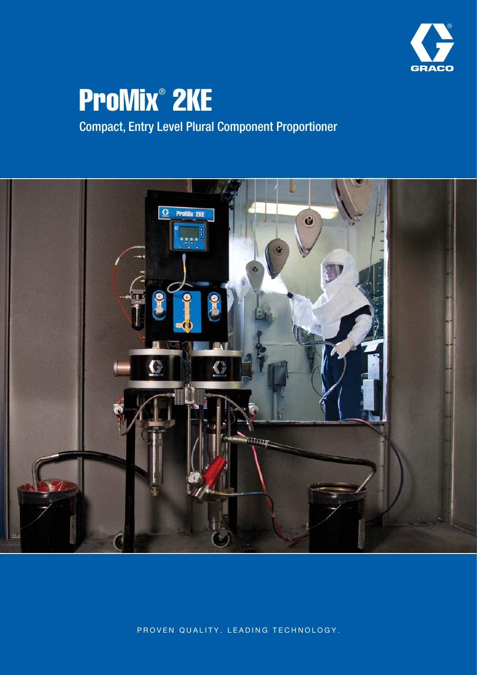

# ProMix® 2KE

## Compact, Entry Level Plural Component Proportioner



PROVEN QUALITY. LEADING TECHNOLOGY.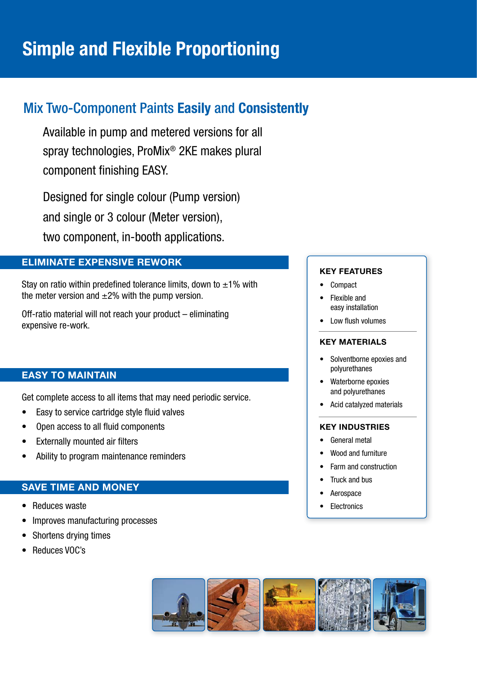### Mix Two-Component Paints **Easily** and **Consistently**

Available in pump and metered versions for all spray technologies, ProMix® 2KE makes plural component finishing EASY.

Designed for single colour (Pump version) and single or 3 colour (Meter version), two component, in-booth applications.

#### **ELIMINATE EXPENSIVE REWORK**

Stay on ratio within predefined tolerance limits, down to  $\pm 1\%$  with the meter version and  $\pm 2\%$  with the pump version.

Off-ratio material will not reach your product – eliminating expensive re-work.

#### **EASY TO MAINTAIN**

Get complete access to all items that may need periodic service.

- Easy to service cartridge style fluid valves
- Open access to all fluid components
- Externally mounted air filters
- Ability to program maintenance reminders

#### **SAVE TIME AND MONEY**

- Reduces waste
- Improves manufacturing processes
- Shortens drying times
- Reduces VOC's

#### **KEY FEATURES**

- Compact
- Flexible and easy installation
- **Low flush volumes**

#### **KEY MATERIALS**

- Solventborne epoxies and polyurethanes
- Waterborne epoxies and polyurethanes
- Acid catalyzed materials

#### **KEY INDUSTRIES**

- General metal
- Wood and furniture
- Farm and construction
- Truck and bus
- **Aerospace**
- **Electronics**

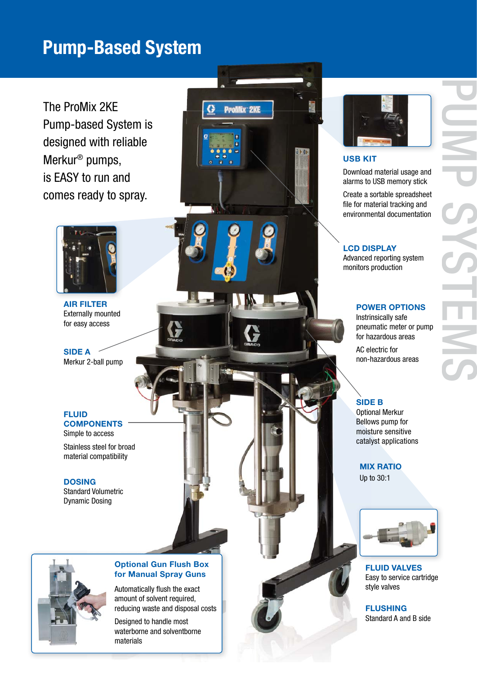## **Pump-Based System**

 $\bf G$ 

**ProMix 2KE** 

The ProMix 2KE Pump-based System is designed with reliable Merkur ® pumps, is EASY to run and comes ready to spray.



**AIR FILTER** Externally mounted for easy access

**SIDE A** Merkur 2-ball pump

**FLUID COMPONENTS** Simple to access

Stainless steel for broad material compatibility

#### **DOSING**

Standard Volumetric Dynamic Dosing



#### **USB KIT**

Download material usage and alarms to USB memory stick

PUMP<sub>C</sub>

SYSTEMS

Create a sortable spreadsheet file for material tracking and environmental documentation

#### **LCD DISPLAY**

Advanced reporting system monitors production

#### **POWER OPTIONS**

Instrinsically safe pneumatic meter or pump for hazardous areas

AC electric for non-hazardous areas

#### **SIDE B**

Optional Merkur Bellows pump for moisture sensitive catalyst applications

**MIX RATIO**

Up to 30:1



**FLUID VALVES** Easy to service cartridge style valves

**FLUSHING** Standard A and B side



#### **Optional Gun Flush Box for Manual Spray Guns**

Automatically flush the exact amount of solvent required, reducing waste and disposal costs

Designed to handle most waterborne and solventborne materials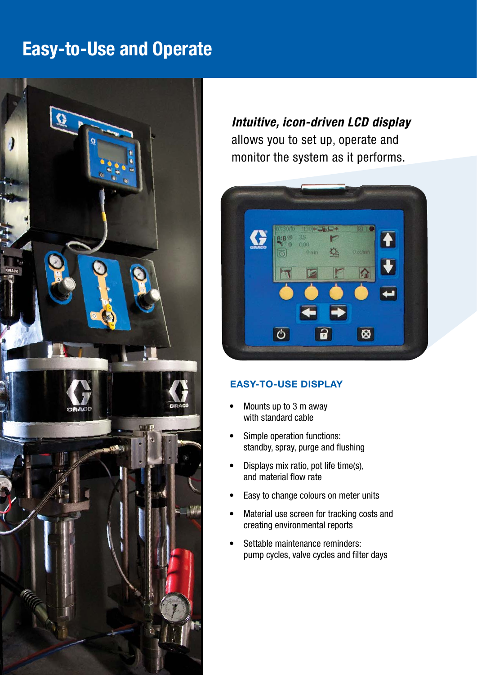## **Easy-to-Use and Operate**



*Intuitive, icon-driven LCD display* allows you to set up, operate and monitor the system as it performs.



#### **EASY-TO-USE DISPLAY**

- Mounts up to 3 m away with standard cable
- Simple operation functions: standby, spray, purge and flushing
- Displays mix ratio, pot life time(s), and material flow rate
- Easy to change colours on meter units
- Material use screen for tracking costs and creating environmental reports
- Settable maintenance reminders: pump cycles, valve cycles and filter days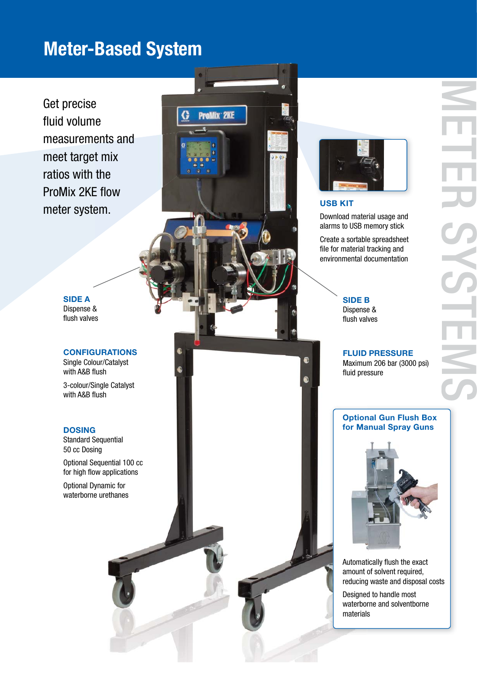## **Meter-Based System**

**ProMix 2KE** 

Get precise fluid volume measurements and meet target mix ratios with the ProMix 2KE flow meter system.

> **SIDE A**  Dispense & flush valves

**CONFIGURATIONS**  Single Colour/Catalyst with A&B flush

3-colour/Single Catalyst with A&B flush

#### **DOSING**

Standard Sequential 50 cc Dosing

Optional Sequential 100 cc for high flow applications

Optional Dynamic for waterborne urethanes



#### **USB KIT**

Download material usage and alarms to USB memory stick

Create a sortable spreadsheet file for material tracking and environmental documentation

#### **SIDE B**

S.

Dispense & flush valves

**FLUID PRESSURE**  Maximum 206 bar (3000 psi) fluid pressure

#### **Optional Gun Flush Box for Manual Spray Guns**



Automatically flush the exact amount of solvent required, reducing waste and disposal costs

Designed to handle most waterborne and solventborne materials

METER SYSTEMS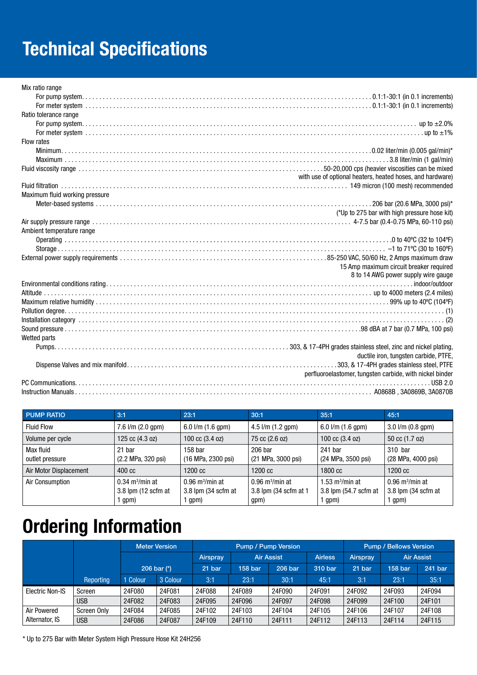## **Technical Specifications**

| Mix ratio range                |                                                           |
|--------------------------------|-----------------------------------------------------------|
|                                |                                                           |
|                                |                                                           |
| Ratio tolerance range          |                                                           |
|                                |                                                           |
|                                |                                                           |
| Flow rates                     |                                                           |
|                                |                                                           |
|                                |                                                           |
|                                |                                                           |
|                                | with use of optional heaters, heated hoses, and hardware) |
|                                |                                                           |
| Maximum fluid working pressure |                                                           |
|                                |                                                           |
|                                | (*Up to 275 bar with high pressure hose kit)              |
|                                |                                                           |
| Ambient temperature range      |                                                           |
|                                |                                                           |
|                                |                                                           |
|                                |                                                           |
|                                | 15 Amp maximum circuit breaker required                   |
|                                | 8 to 14 AWG power supply wire gauge                       |
|                                |                                                           |
|                                |                                                           |
|                                |                                                           |
|                                |                                                           |
|                                |                                                           |
|                                |                                                           |
| Wetted parts                   |                                                           |
|                                |                                                           |
|                                | ductile iron, tungsten carbide, PTFE,                     |
|                                |                                                           |
|                                | perfluoroelastomer, tungsten carbide, with nickel binder  |
|                                |                                                           |
|                                |                                                           |
|                                |                                                           |

| <b>PUMP RATIO</b>            | 3:1                                                               | 23:1                                                         | 30:1                                                           | 35:1                                                              | 45:1                                                         |  |
|------------------------------|-------------------------------------------------------------------|--------------------------------------------------------------|----------------------------------------------------------------|-------------------------------------------------------------------|--------------------------------------------------------------|--|
| <b>Fluid Flow</b>            | $7.6$ $1/m$ $(2.0$ gpm $)$                                        | 6.0 $1/m$ (1.6 gpm)                                          | $4.5$ $\frac{\text{I}}{\text{m}}$ $(1.2 \text{ gpm})$          | 6.0 $1/m$ (1.6 gpm)                                               | $3.0$ I/m (0.8 gpm)                                          |  |
| Volume per cycle             | 125 cc (4.3 oz)                                                   | 100 cc (3.4 oz)<br>75 cc (2.6 oz)                            |                                                                | 100 cc $(3.4 \text{ oz})$                                         | 50 cc (1.7 oz)                                               |  |
| Max fluid<br>outlet pressure | 21 bar<br>(2.2 MPa, 320 psi)                                      | 158 <sub>bar</sub><br>(16 MPa, 2300 psi)                     | 206 bar<br>(21 MPa, 3000 psi)                                  | 241 bar<br>(24 MPa, 3500 psi)                                     | 310 bar<br>(28 MPa, 4000 psi)                                |  |
| Air Motor Displacement       | $400 \text{ cc}$                                                  | 1200 cc                                                      | 1200 cc                                                        | 1800 cc                                                           | 1200 cc                                                      |  |
| Air Consumption              | $0.34 \text{ m}^3/\text{min}$ at<br>$3.8$ lpm (12 scfm at<br>gpm) | $0.96$ m <sup>3</sup> /min at<br>3.8 lpm (34 scfm at<br>qpm) | $0.96$ m <sup>3</sup> /min at<br>3.8 lpm (34 scfm at 1<br>gpm) | $1.53 \text{ m}^3/\text{min}$ at<br>3.8 lpm (54.7 scfm at<br>gpm) | $0.96$ m <sup>3</sup> /min at<br>3.8 lpm (34 scfm at<br>qpm) |  |

## **Ordering Information**

|                 |             |               | <b>Meter Version</b> | <b>Pump / Pump Version</b> |                   |         |                | <b>Pump / Bellows Version</b> |                   |         |
|-----------------|-------------|---------------|----------------------|----------------------------|-------------------|---------|----------------|-------------------------------|-------------------|---------|
|                 |             | 206 bar (*)   |                      | Airspray                   | <b>Air Assist</b> |         | <b>Airless</b> | Airspray                      | <b>Air Assist</b> |         |
|                 |             |               |                      | 21 bar                     | 158 bar           | 206 bar | 310 bar        | 21 bar                        | 158 bar           | 241 bar |
|                 | Reporting   | <b>Colour</b> | 3 Colour             | 3:1                        | 23:1              | 30:1    | 45:1           | 3:1                           | 23:1              | 35:1    |
| Electric Non-IS | Screen      | 24F080        | 24F081               | 24F088                     | 24F089            | 24F090  | 24F091         | 24F092                        | 24F093            | 24F094  |
|                 | <b>USB</b>  | 24F082        | 24F083               | 24F095                     | 24F096            | 24F097  | 24F098         | 24F099                        | 24F100            | 24F101  |
| Air Powered     | Screen Only | 24F084        | 24F085               | 24F102                     | 24F103            | 24F104  | 24F105         | 24F106                        | 24F107            | 24F108  |
| Alternator, IS  | <b>USB</b>  | 24F086        | 24F087               | 24F109                     | 24F110            | 24F111  | 24F112         | 24F113                        | 24F114            | 24F115  |

\* Up to 275 Bar with Meter System High Pressure Hose Kit 24H256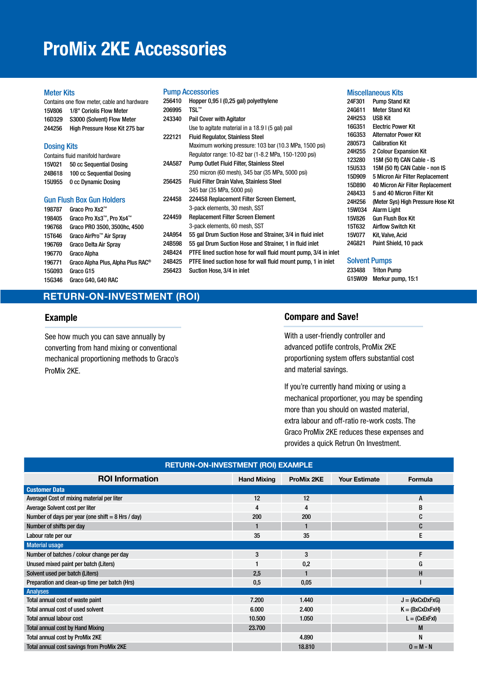## **ProMix 2KE Accessories**

#### Meter Kits

| Contains one flow meter, cable and hardware |                                  |  |  |  |  |
|---------------------------------------------|----------------------------------|--|--|--|--|
| <b>15V806</b>                               | 1/8" Coriolis Flow Meter         |  |  |  |  |
| 16D329                                      | S3000 (Solvent) Flow Meter       |  |  |  |  |
| 244256                                      | High Pressure Hose Kit 275 bar   |  |  |  |  |
|                                             |                                  |  |  |  |  |
| <b>Dosing Kits</b>                          |                                  |  |  |  |  |
|                                             | Contains fluid manifold hardware |  |  |  |  |
| 15V021                                      | 50 cc Sequential Dosing          |  |  |  |  |
| 24B618                                      | 100 cc Sequential Dosing         |  |  |  |  |
| <b>15U955</b>                               | 0 cc Dynamic Dosing              |  |  |  |  |
|                                             |                                  |  |  |  |  |
| Gun Flush Box Gun Holders                   |                                  |  |  |  |  |
| 198787                                      | Graco Pro Xs2™                   |  |  |  |  |
| 198405                                      | Graco Pro Xs3™. Pro Xs4™         |  |  |  |  |
| 196768                                      | Graco PRO 3500, 3500hc, 4500     |  |  |  |  |
| 15T646                                      | Graco AirPro™ Air Spray          |  |  |  |  |
| 196769                                      | Graco Delta Air Spray            |  |  |  |  |

196771 Graco Alpha Plus, Alpha Plus RAC®

#### Pump Accessories

| 256410 | Hopper 0,95 I (0,25 gal) polyethylene                           |
|--------|-----------------------------------------------------------------|
| 206995 | TSL™                                                            |
| 243340 | <b>Pail Cover with Agitator</b>                                 |
|        | Use to agitate material in a 18.9 l (5 gal) pail                |
| 222121 | <b>Fluid Regulator, Stainless Steel</b>                         |
|        | Maximum working pressure: 103 bar (10.3 MPa, 1500 psi)          |
|        | Regulator range: 10-82 bar (1-8.2 MPa, 150-1200 psi)            |
| 24A587 | <b>Pump Outlet Fluid Filter, Stainless Steel</b>                |
|        | 250 micron (60 mesh), 345 bar (35 MPa, 5000 psi)                |
| 256425 | <b>Fluid Filter Drain Valve, Stainless Steel</b>                |
|        | 345 bar (35 MPa, 5000 psi)                                      |
| 224458 | 224458 Replacement Filter Screen Element,                       |
|        | 3-pack elements, 30 mesh, SST                                   |
| 224459 | <b>Replacement Filter Screen Element</b>                        |
|        | 3-pack elements, 60 mesh, SST                                   |
| 24A954 | 55 gal Drum Suction Hose and Strainer, 3/4 in fluid inlet       |
| 24B598 | 55 gal Drum Suction Hose and Strainer, 1 in fluid inlet         |
| 24B424 | PTFE lined suction hose for wall fluid mount pump, 3/4 in inlet |
| 24B425 | PTFE lined suction hose for wall fluid mount pump, 1 in inlet   |
| 256423 | Suction Hose, 3/4 in inlet                                      |

|               | Miscellaneous Kits                 |
|---------------|------------------------------------|
| 24F301        | Pump Stand Kit                     |
| 24G611        | <b>Meter Stand Kit</b>             |
| 24H253        | USB Kit                            |
| 16G351        | <b>Flectric Power Kit</b>          |
| 16G353        | <b>Alternator Power Kit</b>        |
| 280573        | <b>Calibration Kit</b>             |
| 24H255        | 2 Colour Expansion Kit             |
| 123280        | 15M (50 ft) CAN Cable - IS         |
| <b>15U533</b> | 15M (50 ft) CAN Cable - non IS     |
| 15D909        | 5 Micron Air Filter Replacement    |
| 15D890        | 40 Micron Air Filter Replacement   |
| 248433        | 5 and 40 Micron Filter Kit         |
| 24H256        | (Meter Sys) High Pressure Hose Kit |
| <b>15W034</b> | <b>Alarm Light</b>                 |
| <b>15V826</b> | Gun Flush Box Kit                  |
| 15T632        | <b>Airflow Switch Kit</b>          |
| 15V077        | Kit, Valve, Acid                   |
| 24G821        | Paint Shield, 10 pack              |

#### Solvent Pumps

233488 Triton Pump G15W09 Merkur pump, 15:1

#### **RETURN-ON-INVESTMENT (ROI)**

#### **Example**

196770 Graco Alpha

15G093 Graco G15 15G346 Graco G40, G40 RAC

See how much you can save annually by converting from hand mixing or conventional mechanical proportioning methods to Graco's ProMix 2KE.

#### **Compare and Save!**

With a user-friendly controller and advanced potlife controls, ProMix 2KE proportioning system offers substantial cost and material savings.

If you're currently hand mixing or using a mechanical proportioner, you may be spending more than you should on wasted material, extra labour and off-ratio re-work costs. The Graco ProMix 2KE reduces these expenses and provides a quick Retrun On Investment.

| <b>RETURN-ON-INVESTMENT (ROI) EXAMPLE</b>           |                                         |        |                      |                   |  |  |  |
|-----------------------------------------------------|-----------------------------------------|--------|----------------------|-------------------|--|--|--|
| <b>ROI Information</b>                              | <b>Hand Mixing</b><br><b>ProMix 2KE</b> |        | <b>Your Estimate</b> | Formula           |  |  |  |
| <b>Customer Data</b>                                |                                         |        |                      |                   |  |  |  |
| Averagel Cost of mixing material per liter          | 12                                      | 12     |                      | A                 |  |  |  |
| Average Solvent cost per liter                      | 4                                       | 4      |                      | В                 |  |  |  |
| Number of days per year (one shift $= 8$ Hrs / day) | 200                                     | 200    |                      | C                 |  |  |  |
| Number of shifts per day                            |                                         |        |                      | C                 |  |  |  |
| Labour rate per our                                 | 35                                      | 35     |                      | E                 |  |  |  |
| <b>Material usage</b>                               |                                         |        |                      |                   |  |  |  |
| Number of batches / colour change per day           | 3                                       | 3      |                      | F                 |  |  |  |
| Unused mixed paint per batch (Liters)               |                                         | 0,2    |                      | G                 |  |  |  |
| Solvent used per batch (Liters)                     | 2,5                                     |        |                      | H                 |  |  |  |
| Preparation and clean-up time per batch (Hrs)       | 0,5                                     | 0,05   |                      |                   |  |  |  |
| Analyses                                            |                                         |        |                      |                   |  |  |  |
| Total annual cost of waste paint                    | 7.200                                   | 1.440  |                      | $J = (AxCxDxFxG)$ |  |  |  |
| Total annual cost of used solvent                   | 6.000                                   | 2.400  |                      | $K = (BxCxDxFxH)$ |  |  |  |
| <b>Total annual labour cost</b>                     | 10,500                                  | 1.050  |                      | $L = (CxExFxI)$   |  |  |  |
| <b>Total annual cost by Hand Mixing</b>             | 23.700                                  |        |                      | M                 |  |  |  |
| Total annual cost by ProMix 2KE                     |                                         | 4.890  |                      | N                 |  |  |  |
| <b>Total annual cost savings from ProMix 2KE</b>    |                                         | 18.810 |                      | $0 = M - N$       |  |  |  |